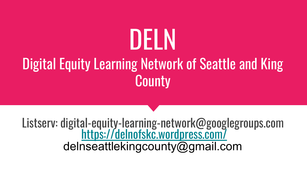# DELN

# Digital Equity Learning Network of Seattle and King **County**

Listserv: digital-equity-learning-network@googlegroups.com <https://delnofskc.wordpress.com/> delnseattlekingcounty@gmail.com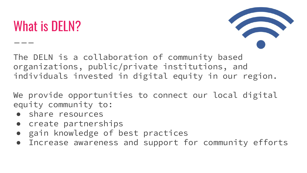# What is DELN?



The DELN is a collaboration of community based organizations, public/private institutions, and individuals invested in digital equity in our region.

We provide opportunities to connect our local digital equity community to:

- share resources
- create partnerships
- gain knowledge of best practices
- Increase awareness and support for community efforts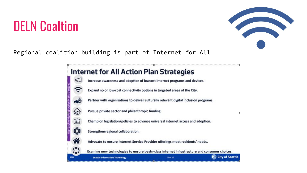#### DELN Coaltion



#### Regional coalition building is part of Internet for All

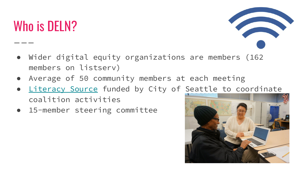# Who is DELN?

- Wider digital equity organizations are members (162 members on listserv)
- Average of 50 community members at each meeting
- [Literacy Source](http://www.literacysource.org) funded by City of Seattle to coordinate coalition activities
- 15-member steering committee

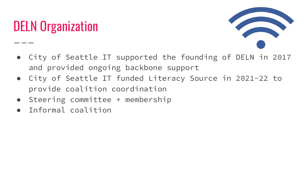# DELN Organization



- City of Seattle IT supported the founding of DELN in 2017 and provided ongoing backbone support
- City of Seattle IT funded Literacy Source in 2021-22 to provide coalition coordination
- Steering committee + membership
- Informal coalition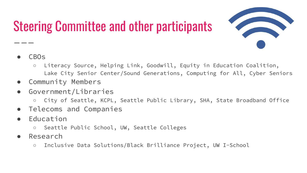# Steering Committee and other participants



- CB<sub>O</sub>s
	- Literacy Source, Helping Link, Goodwill, Equity in Education Coalition, Lake City Senior Center/Sound Generations, Computing for All, Cyber Seniors
- Community Members
- Government/Libraries
	- City of Seattle, KCPL, Seattle Public Library, SHA, State Broadband Office
- Telecoms and Companies
- Education
	- Seattle Public School, UW, Seattle Colleges
- Research
	- Inclusive Data Solutions/Black Brilliance Project, UW I-School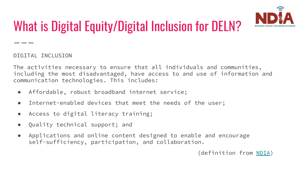

# What is Digital Equity/Digital Inclusion for DELN?

DIGITAL INCLUSION

The activities necessary to ensure that all individuals and communities, including the most disadvantaged, have access to and use of information and communication technologies. This includes:

- Affordable, robust broadband internet service;
- Internet-enabled devices that meet the needs of the user;
- Access to digital literacy training;
- Quality technical support; and
- Applications and online content designed to enable and encourage self-sufficiency, participation, and collaboration.

(definition from [NDIA](https://www.digitalinclusion.org/))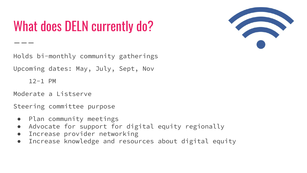# What does DELN currently do?



Holds bi-monthly community gatherings

Upcoming dates: May, July, Sept, Nov

 $12 - 1$  PM

Moderate a Listserve

Steering committee purpose

- Plan community meetings
- Advocate for support for digital equity regionally
- Increase provider networking
- Increase knowledge and resources about digital equity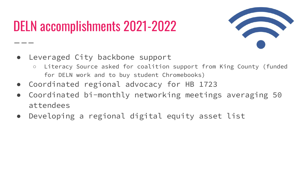# DELN accomplishments 2021-2022



- Leveraged City backbone support
	- Literacy Source asked for coalition support from King County (funded for DELN work and to buy student Chromebooks)
- Coordinated regional advocacy for HB 1723
- Coordinated bi-monthly networking meetings averaging 50 attendees
- Developing a regional digital equity asset list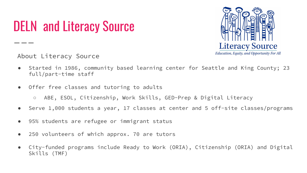# DELN and Literacy Source



About Literacy Source

- Started in 1986, community based learning center for Seattle and King County; 23 full/part-time staff
- Offer free classes and tutoring to adults
	- ABE, ESOL, Citizenship, Work Skills, GED-Prep & Digital Literacy
- Serve 1,000 students a year, 17 classes at center and 5 off-site classes/programs
- 95% students are refugee or immigrant status
- 250 volunteers of which approx. 70 are tutors
- City-funded programs include Ready to Work (ORIA), Citizenship (ORIA) and Digital Skills (TMF)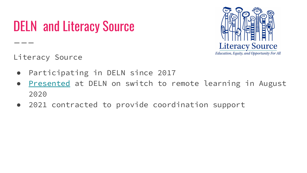# DELN and Literacy Source



Literacy Source

- Participating in DELN since 2017
- [Presented](https://drive.google.com/file/d/1uoQoFb36WLaXwa5Lx-y7kw3q31XOsE3I/view?usp=sharing) at DELN on switch to remote learning in August 2020
- 2021 contracted to provide coordination support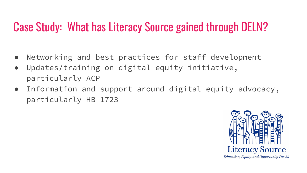#### Case Study: What has Literacy Source gained through DELN?

- Networking and best practices for staff development
- Updates/training on digital equity initiative, particularly ACP
- Information and support around digital equity advocacy, particularly HB 1723

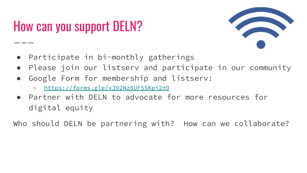# How can you support DELN?



- Participate in bi-monthly gatherings
- Please join our listserv and participate in our community
- Google Form for membership and listserv:
	- <https://forms.gle/x392Nz6UF5SKpi2n9>
- Partner with DELN to advocate for more resources for digital equity

Who should DELN be partnering with? How can we collaborate?